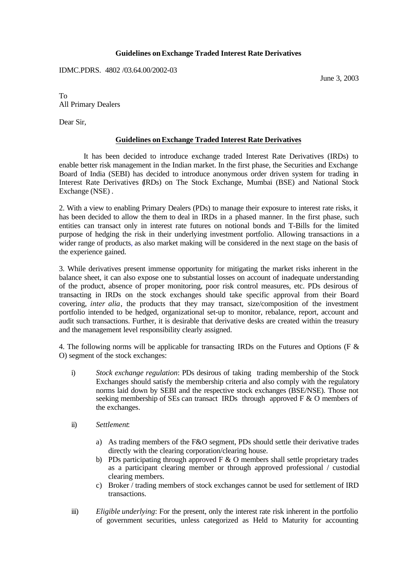## **Guidelines onExchange Traded Interest Rate Derivatives**

IDMC.PDRS. 4802 /03.64.00/2002-03

June 3, 2003

To All Primary Dealers

Dear Sir,

## **Guidelines onExchange Traded Interest Rate Derivatives**

It has been decided to introduce exchange traded Interest Rate Derivatives (IRDs) to enable better risk management in the Indian market. In the first phase, the Securities and Exchange Board of India (SEBI) has decided to introduce anonymous order driven system for trading in Interest Rate Derivatives (IRDs) on The Stock Exchange, Mumbai (BSE) and National Stock Exchange (NSE) .

2. With a view to enabling Primary Dealers (PDs) to manage their exposure to interest rate risks, it has been decided to allow the them to deal in IRDs in a phased manner. In the first phase, such entities can transact only in interest rate futures on notional bonds and T-Bills for the limited purpose of hedging the risk in their underlying investment portfolio. Allowing transactions in a wider range of products, as also market making will be considered in the next stage on the basis of the experience gained.

3. While derivatives present immense opportunity for mitigating the market risks inherent in the balance sheet, it can also expose one to substantial losses on account of inadequate understanding of the product, absence of proper monitoring, poor risk control measures, etc. PDs desirous of transacting in IRDs on the stock exchanges should take specific approval from their Board covering, *inter alia*, the products that they may transact, size/composition of the investment portfolio intended to be hedged, organizational set-up to monitor, rebalance, report, account and audit such transactions. Further, it is desirable that derivative desks are created within the treasury and the management level responsibility clearly assigned.

4. The following norms will be applicable for transacting IRDs on the Futures and Options (F & O) segment of the stock exchanges:

- i) *Stock exchange regulation*: PDs desirous of taking trading membership of the Stock Exchanges should satisfy the membership criteria and also comply with the regulatory norms laid down by SEBI and the respective stock exchanges (BSE/NSE). Those not seeking membership of SEs can transact IRDs through approved F & O members of the exchanges.
- ii) *Settlement*:
	- a) As trading members of the F&O segment, PDs should settle their derivative trades directly with the clearing corporation/clearing house.
	- b) PDs participating through approved F  $\&$  O members shall settle proprietary trades as a participant clearing member or through approved professional / custodial clearing members.
	- c) Broker / trading members of stock exchanges cannot be used for settlement of IRD transactions.
- iii) *Eligible underlying*: For the present, only the interest rate risk inherent in the portfolio of government securities, unless categorized as Held to Maturity for accounting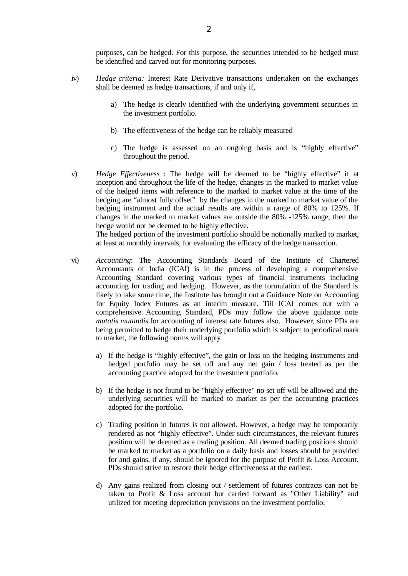purposes, can be hedged. For this purpose, the securities intended to be hedged must be identified and carved out for monitoring purposes.

- iv) *Hedge criteria:* Interest Rate Derivative transactions undertaken on the exchanges shall be deemed as hedge transactions, if and only if,
	- a) The hedge is clearly identified with the underlying government securities in the investment portfolio.
	- b) The effectiveness of the hedge can be reliably measured
	- c) The hedge is assessed on an ongoing basis and is "highly effective" throughout the period.
- v) *Hedge Effectiveness* : The hedge will be deemed to be "highly effective" if at inception and throughout the life of the hedge, changes in the marked to market value of the hedged items with reference to the marked to market value at the time of the hedging are "almost fully offset" by the changes in the marked to market value of the hedging instrument and the actual results are within a range of 80% to 125%. If changes in the marked to market values are outside the 80% -125% range, then the hedge would not be deemed to be highly effective. The hedged portion of the investment portfolio should be notionally marked to market,

at least at monthly intervals, for evaluating the efficacy of the hedge transaction.

- vi) *Accounting*: The Accounting Standards Board of the Institute of Chartered Accountants of India (ICAI) is in the process of developing a comprehensive Accounting Standard covering various types of financial instruments including accounting for trading and hedging. However, as the formulation of the Standard is likely to take some time, the Institute has brought out a Guidance Note on Accounting for Equity Index Futures as an interim measure. Till ICAI comes out with a comprehensive Accounting Standard, PDs may follow the above guidance note *mutatis mutandis* for accounting of interest rate futures also. However, since PDs are being permitted to hedge their underlying portfolio which is subject to periodical mark to market, the following norms will apply
	- a) If the hedge is "highly effective", the gain or loss on the hedging instruments and hedged portfolio may be set off and any net gain / loss treated as per the accounting practice adopted for the investment portfolio.
	- b) If the hedge is not found to be "highly effective" no set off will be allowed and the underlying securities will be marked to market as per the accounting practices adopted for the portfolio.
	- c) Trading position in futures is not allowed. However, a hedge may be temporarily rendered as not "highly effective". Under such circumstances, the relevant futures position will be deemed as a trading position. All deemed trading positions should be marked to market as a portfolio on a daily basis and losses should be provided for and gains, if any, should be ignored for the purpose of Profit & Loss Account. PDs should strive to restore their hedge effectiveness at the earliest.
	- d) Any gains realized from closing out / settlement of futures contracts can not be taken to Profit & Loss account but carried forward as "Other Liability" and utilized for meeting depreciation provisions on the investment portfolio.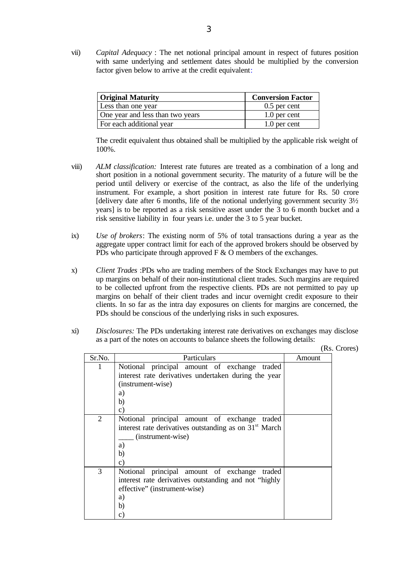vii) *Capital Adequacy* : The net notional principal amount in respect of futures position with same underlying and settlement dates should be multiplied by the conversion factor given below to arrive at the credit equivalent:

| <b>Original Maturity</b>         | <b>Conversion Factor</b> |  |  |  |
|----------------------------------|--------------------------|--|--|--|
| Less than one year               | $0.5$ per cent           |  |  |  |
| One year and less than two years | 1.0 per cent             |  |  |  |
| For each additional year         | 1.0 per cent             |  |  |  |

The credit equivalent thus obtained shall be multiplied by the applicable risk weight of 100%.

- viii) *ALM classification:* Interest rate futures are treated as a combination of a long and short position in a notional government security. The maturity of a future will be the period until delivery or exercise of the contract, as also the life of the underlying instrument. For example, a short position in interest rate future for Rs. 50 crore [delivery date after 6 months, life of the notional underlying government security  $3\frac{1}{2}$ years] is to be reported as a risk sensitive asset under the 3 to 6 month bucket and a risk sensitive liability in four years i.e. under the 3 to 5 year bucket.
- ix) *Use of brokers*: The existing norm of 5% of total transactions during a year as the aggregate upper contract limit for each of the approved brokers should be observed by PDs who participate through approved  $F \& O$  members of the exchanges.
- x) *Client Trades* :PDs who are trading members of the Stock Exchanges may have to put up margins on behalf of their non-institutional client trades. Such margins are required to be collected upfront from the respective clients. PDs are not permitted to pay up margins on behalf of their client trades and incur overnight credit exposure to their clients. In so far as the intra day exposures on clients for margins are concerned, the PDs should be conscious of the underlying risks in such exposures.
- xi) *Disclosures:* The PDs undertaking interest rate derivatives on exchanges may disclose as a part of the notes on accounts to balance sheets the following details:

|        |                                                                                                                                                                         | (Rs. Crores) |  |
|--------|-------------------------------------------------------------------------------------------------------------------------------------------------------------------------|--------------|--|
| Sr.No. | Particulars                                                                                                                                                             | Amount       |  |
| 1      | Notional principal amount of exchange traded<br>interest rate derivatives undertaken during the year<br>(instrument-wise)<br>a)<br>b)<br>$\mathbf{c})$                  |              |  |
| 2      | Notional principal amount of exchange<br>traded<br>interest rate derivatives outstanding as on 31 <sup>st</sup> March<br>(instrument-wise)<br>a)<br>b)<br>$\mathbf{c})$ |              |  |
| 3      | Notional principal amount of exchange traded<br>interest rate derivatives outstanding and not "highly"<br>effective" (instrument-wise)<br>a)<br>b)<br>c)                |              |  |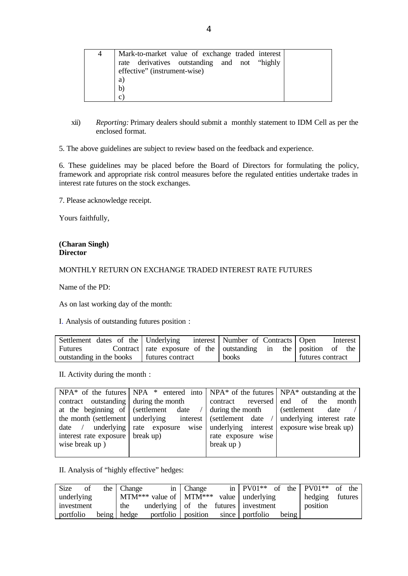| 4 | Mark-to-market value of exchange traded interest<br>rate derivatives outstanding and not "highly<br>effective" (instrument-wise) |  |
|---|----------------------------------------------------------------------------------------------------------------------------------|--|
|   | a)<br>b)<br>$\mathcal{C}$                                                                                                        |  |

xii) *Reporting:* Primary dealers should submit a monthly statement to IDM Cell as per the enclosed format.

5. The above guidelines are subject to review based on the feedback and experience.

6. These guidelines may be placed before the Board of Directors for formulating the policy, framework and appropriate risk control measures before the regulated entities undertake trades in interest rate futures on the stock exchanges.

7. Please acknowledge receipt.

Yours faithfully,

## **(Charan Singh) Director**

## MONTHLY RETURN ON EXCHANGE TRADED INTEREST RATE FUTURES

Name of the PD:

As on last working day of the month:

I. Analysis of outstanding futures position :

| Settlement dates of the Underlying          | interest   Number of Contracts   Open                           | Interest         |
|---------------------------------------------|-----------------------------------------------------------------|------------------|
| Futures                                     | Contract rate exposure of the utstanding in the position of the |                  |
| outstanding in the books   futures contract | <b>books</b>                                                    | futures contract |

II. Activity during the month :

| $NPA^*$ of the futures $NPA^*$ entered into $NPA^*$ of the futures $NPA^*$ outstanding at the |                                                                                        |                    |                                                                                             |  |  |
|-----------------------------------------------------------------------------------------------|----------------------------------------------------------------------------------------|--------------------|---------------------------------------------------------------------------------------------|--|--|
| contract outstanding during the month                                                         |                                                                                        |                    | contract reversed end of the month                                                          |  |  |
|                                                                                               | at the beginning of (settlement date / $\frac{1}{2}$ during the month (settlement date |                    |                                                                                             |  |  |
|                                                                                               |                                                                                        |                    | the month (settlement   underlying interest   (settlement date /   underlying interest rate |  |  |
|                                                                                               |                                                                                        |                    | date / underlying rate exposure wise underlying interest exposure wise break up)            |  |  |
| interest rate exposure break up)                                                              |                                                                                        | rate exposure wise |                                                                                             |  |  |
| wise break up)                                                                                |                                                                                        | break up)          |                                                                                             |  |  |
|                                                                                               |                                                                                        |                    |                                                                                             |  |  |

II. Analysis of "highly effective" hedges:

| Size<br>of | the Change  |                                      | in Change | in $PV01**$ of the PV01 <sup>**</sup> of the |       |          |         |
|------------|-------------|--------------------------------------|-----------|----------------------------------------------|-------|----------|---------|
| underlying |             | $MTM***$ value of $MTM***$           |           | value underlying                             |       | hedging  | futures |
| investment | the         | underlying of the futures investment |           |                                              |       | position |         |
| portfolio  | being hedge |                                      |           | portfolio position since portfolio           | being |          |         |